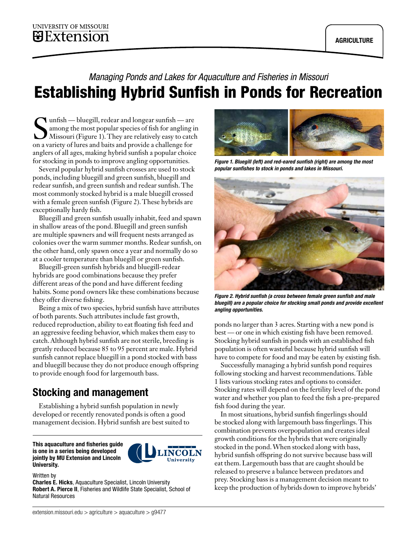# *Managing Ponds and Lakes for Aquaculture and Fisheries in Missouri* Establishing Hybrid Sunfish in Ponds for Recreation

Sunfish — bluegill, redear and longear sunfish — are<br>
among the most popular species of fish for angling in<br>
Missouri (Figure 1). They are relatively easy to catch<br>
on a variety of lures and baits and provide a challenge f among the most popular species of fish for angling in on a variety of lures and baits and provide a challenge for anglers of all ages, making hybrid sunfish a popular choice for stocking in ponds to improve angling opportunities.

Several popular hybrid sunfish crosses are used to stock ponds, including bluegill and green sunfish, bluegill and redear sunfish, and green sunfish and redear sunfish. The most commonly stocked hybrid is a male bluegill crossed with a female green sunfish (Figure 2). These hybrids are exceptionally hardy fish.

Bluegill and green sunfish usually inhabit, feed and spawn in shallow areas of the pond. Bluegill and green sunfish are multiple spawners and will frequent nests arranged as colonies over the warm summer months. Redear sunfish, on the other hand, only spawn once a year and normally do so at a cooler temperature than bluegill or green sunfish.

Bluegill-green sunfish hybrids and bluegill-redear hybrids are good combinations because they prefer different areas of the pond and have different feeding habits. Some pond owners like these combinations because they offer diverse fishing.

Being a mix of two species, hybrid sunfish have attributes of both parents. Such attributes include fast growth, reduced reproduction, ability to eat floating fish feed and an aggressive feeding behavior, which makes them easy to catch. Although hybrid sunfish are not sterile, breeding is greatly reduced because 85 to 95 percent are male. Hybrid sunfish cannot replace bluegill in a pond stocked with bass and bluegill because they do not produce enough offspring to provide enough food for largemouth bass.

# Stocking and management

Establishing a hybrid sunfish population in newly developed or recently renovated ponds is often a good management decision. Hybrid sunfish are best suited to

This aquaculture and fisheries guide is one in a series being developed jointly by MU Extension and Lincoln University.



#### Written by

Charles E. Hicks, Aquaculture Specialist, Lincoln University Robert A. Pierce II, Fisheries and Wildlife State Specialist, School of Natural Resources



*Figure 1. Bluegill (left) and red-eared sunfish (right) are among the most popular sunfishes to stock in ponds and lakes in Missouri.*



*Figure 2. Hybrid sunfish (a cross between female green sunfish and male bluegill) are a popular choice for stocking small ponds and provide excellent angling opportunities.*

ponds no larger than 3 acres. Starting with a new pond is best — or one in which existing fish have been removed. Stocking hybrid sunfish in ponds with an established fish population is often wasteful because hybrid sunfish will have to compete for food and may be eaten by existing fish.

Successfully managing a hybrid sunfish pond requires following stocking and harvest recommendations. Table 1 lists various stocking rates and options to consider. Stocking rates will depend on the fertility level of the pond water and whether you plan to feed the fish a pre-prepared fish food during the year.

In most situations, hybrid sunfish fingerlings should be stocked along with largemouth bass fingerlings. This combination prevents overpopulation and creates ideal growth conditions for the hybrids that were originally stocked in the pond. When stocked along with bass, hybrid sunfish offspring do not survive because bass will eat them. Largemouth bass that are caught should be released to preserve a balance between predators and prey. Stocking bass is a management decision meant to keep the production of hybrids down to improve hybrids'